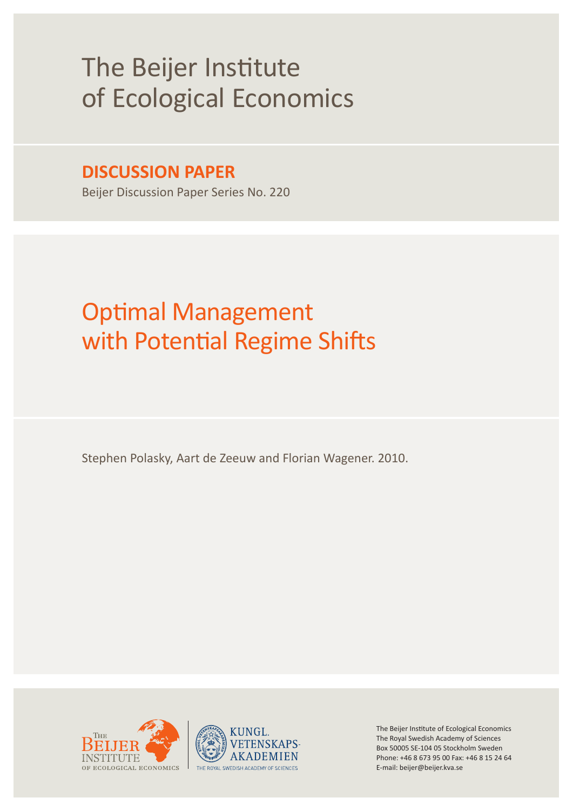# The Beijer Institute of Ecological Economics

## **DISCUSSION PAPER**

Beijer Discussion Paper Series No. 220

# Optimal Management with Potential Regime Shifts

Stephen Polasky, Aart de Zeeuw and Florian Wagener. 2010.





The Beijer Institute of Ecological Economics The Royal Swedish Academy of Sciences Box 50005 SE-104 05 Stockholm Sweden Phone: +46 8 673 95 00 Fax: +46 8 15 24 64 E-mail: beijer@beijer.kva.se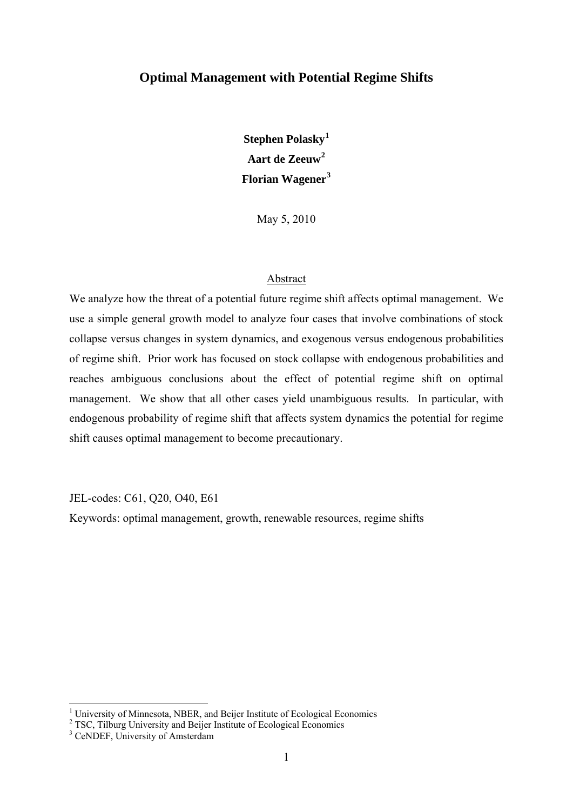### **Optimal Management with Potential Regime Shifts**

**Stephen Polasky[1](#page-1-0) Aart de Zeeuw[2](#page-1-1) Florian Wagener[3](#page-1-2)**

May 5, 2010

#### Abstract

We analyze how the threat of a potential future regime shift affects optimal management. We use a simple general growth model to analyze four cases that involve combinations of stock collapse versus changes in system dynamics, and exogenous versus endogenous probabilities of regime shift. Prior work has focused on stock collapse with endogenous probabilities and reaches ambiguous conclusions about the effect of potential regime shift on optimal management. We show that all other cases yield unambiguous results. In particular, with endogenous probability of regime shift that affects system dynamics the potential for regime shift causes optimal management to become precautionary.

JEL-codes: C61, Q20, O40, E61

Keywords: optimal management, growth, renewable resources, regime shifts

<sup>&</sup>lt;sup>1</sup> University of Minnesota, NBER, and Beijer Institute of Ecological Economics<sup>2</sup> TSC, Tilburg University and Beijer Institute of Ecological Economics

<span id="page-1-1"></span><span id="page-1-0"></span>

<span id="page-1-2"></span><sup>&</sup>lt;sup>3</sup> CeNDEF, University of Amsterdam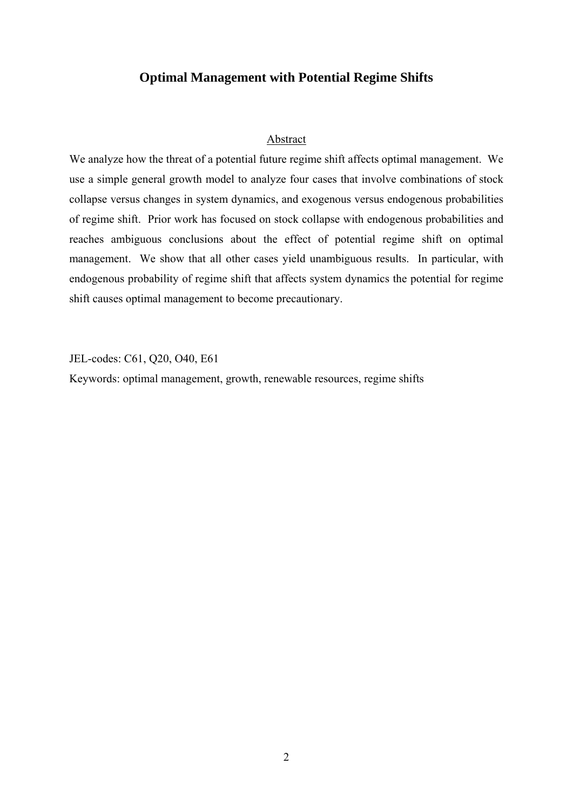### **Optimal Management with Potential Regime Shifts**

#### Abstract

We analyze how the threat of a potential future regime shift affects optimal management. We use a simple general growth model to analyze four cases that involve combinations of stock collapse versus changes in system dynamics, and exogenous versus endogenous probabilities of regime shift. Prior work has focused on stock collapse with endogenous probabilities and reaches ambiguous conclusions about the effect of potential regime shift on optimal management. We show that all other cases yield unambiguous results. In particular, with endogenous probability of regime shift that affects system dynamics the potential for regime shift causes optimal management to become precautionary.

JEL-codes: C61, Q20, O40, E61

Keywords: optimal management, growth, renewable resources, regime shifts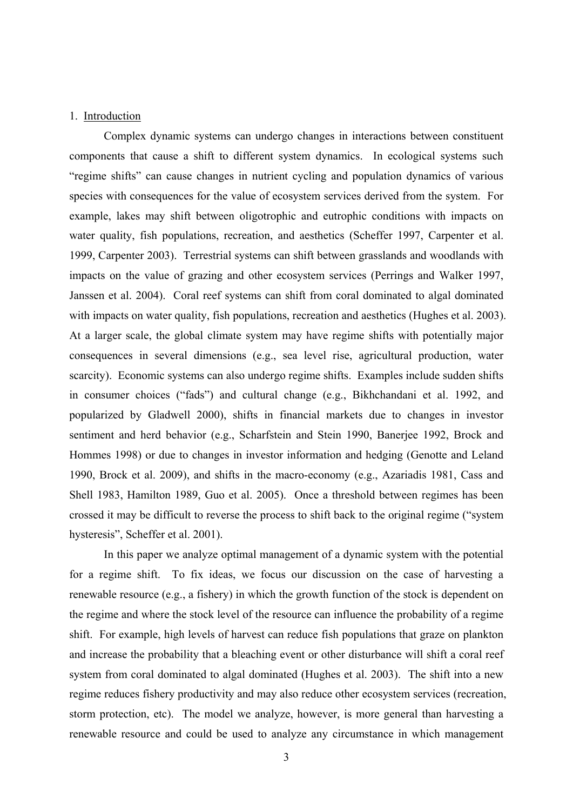#### 1. Introduction

Complex dynamic systems can undergo changes in interactions between constituent components that cause a shift to different system dynamics. In ecological systems such "regime shifts" can cause changes in nutrient cycling and population dynamics of various species with consequences for the value of ecosystem services derived from the system. For example, lakes may shift between oligotrophic and eutrophic conditions with impacts on water quality, fish populations, recreation, and aesthetics (Scheffer 1997, Carpenter et al. 1999, Carpenter 2003). Terrestrial systems can shift between grasslands and woodlands with impacts on the value of grazing and other ecosystem services (Perrings and Walker 1997, Janssen et al. 2004). Coral reef systems can shift from coral dominated to algal dominated with impacts on water quality, fish populations, recreation and aesthetics (Hughes et al. 2003). At a larger scale, the global climate system may have regime shifts with potentially major consequences in several dimensions (e.g., sea level rise, agricultural production, water scarcity). Economic systems can also undergo regime shifts. Examples include sudden shifts in consumer choices ("fads") and cultural change (e.g., Bikhchandani et al. 1992, and popularized by Gladwell 2000), shifts in financial markets due to changes in investor sentiment and herd behavior (e.g., Scharfstein and Stein 1990, Banerjee 1992, Brock and Hommes 1998) or due to changes in investor information and hedging (Genotte and Leland 1990, Brock et al. 2009), and shifts in the macro-economy (e.g., Azariadis 1981, Cass and Shell 1983, Hamilton 1989, Guo et al. 2005). Once a threshold between regimes has been crossed it may be difficult to reverse the process to shift back to the original regime ("system hysteresis", Scheffer et al. 2001).

In this paper we analyze optimal management of a dynamic system with the potential for a regime shift. To fix ideas, we focus our discussion on the case of harvesting a renewable resource (e.g., a fishery) in which the growth function of the stock is dependent on the regime and where the stock level of the resource can influence the probability of a regime shift. For example, high levels of harvest can reduce fish populations that graze on plankton and increase the probability that a bleaching event or other disturbance will shift a coral reef system from coral dominated to algal dominated (Hughes et al. 2003). The shift into a new regime reduces fishery productivity and may also reduce other ecosystem services (recreation, storm protection, etc). The model we analyze, however, is more general than harvesting a renewable resource and could be used to analyze any circumstance in which management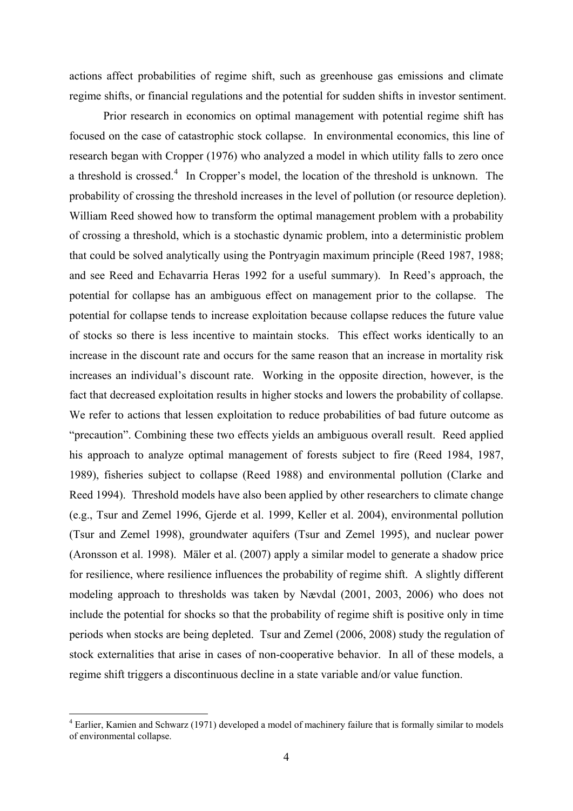actions affect probabilities of regime shift, such as greenhouse gas emissions and climate regime shifts, or financial regulations and the potential for sudden shifts in investor sentiment.

 Prior research in economics on optimal management with potential regime shift has focused on the case of catastrophic stock collapse. In environmental economics, this line of research began with Cropper (1976) who analyzed a model in which utility falls to zero once a threshold is crossed.<sup>[4](#page-4-0)</sup> In Cropper's model, the location of the threshold is unknown. The probability of crossing the threshold increases in the level of pollution (or resource depletion). William Reed showed how to transform the optimal management problem with a probability of crossing a threshold, which is a stochastic dynamic problem, into a deterministic problem that could be solved analytically using the Pontryagin maximum principle (Reed 1987, 1988; and see Reed and Echavarria Heras 1992 for a useful summary). In Reed's approach, the potential for collapse has an ambiguous effect on management prior to the collapse. The potential for collapse tends to increase exploitation because collapse reduces the future value of stocks so there is less incentive to maintain stocks. This effect works identically to an increase in the discount rate and occurs for the same reason that an increase in mortality risk increases an individual's discount rate. Working in the opposite direction, however, is the fact that decreased exploitation results in higher stocks and lowers the probability of collapse. We refer to actions that lessen exploitation to reduce probabilities of bad future outcome as "precaution". Combining these two effects yields an ambiguous overall result. Reed applied his approach to analyze optimal management of forests subject to fire (Reed 1984, 1987, 1989), fisheries subject to collapse (Reed 1988) and environmental pollution (Clarke and Reed 1994). Threshold models have also been applied by other researchers to climate change (e.g., Tsur and Zemel 1996, Gjerde et al. 1999, Keller et al. 2004), environmental pollution (Tsur and Zemel 1998), groundwater aquifers (Tsur and Zemel 1995), and nuclear power (Aronsson et al. 1998). Mäler et al. (2007) apply a similar model to generate a shadow price for resilience, where resilience influences the probability of regime shift. A slightly different modeling approach to thresholds was taken by Nævdal (2001, 2003, 2006) who does not include the potential for shocks so that the probability of regime shift is positive only in time periods when stocks are being depleted. Tsur and Zemel (2006, 2008) study the regulation of stock externalities that arise in cases of non-cooperative behavior. In all of these models, a regime shift triggers a discontinuous decline in a state variable and/or value function.

<u>.</u>

<span id="page-4-0"></span><sup>&</sup>lt;sup>4</sup> Earlier, Kamien and Schwarz (1971) developed a model of machinery failure that is formally similar to models of environmental collapse.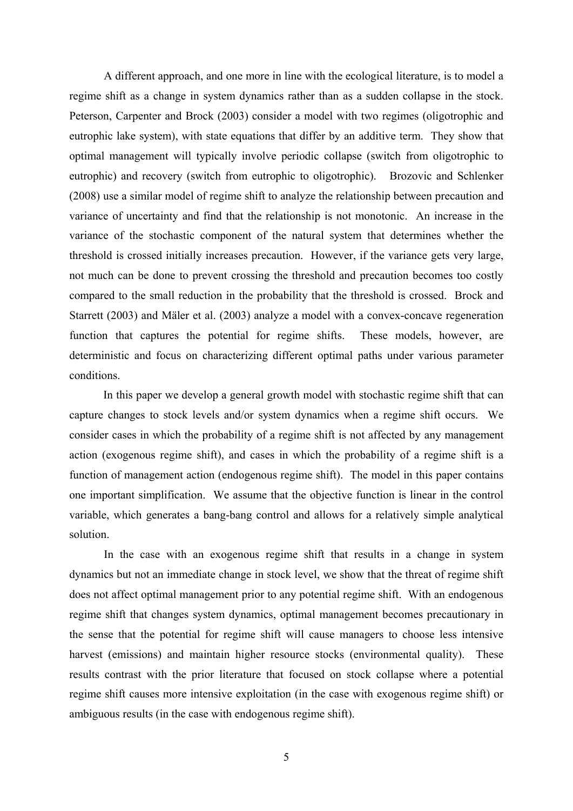A different approach, and one more in line with the ecological literature, is to model a regime shift as a change in system dynamics rather than as a sudden collapse in the stock. Peterson, Carpenter and Brock (2003) consider a model with two regimes (oligotrophic and eutrophic lake system), with state equations that differ by an additive term. They show that optimal management will typically involve periodic collapse (switch from oligotrophic to eutrophic) and recovery (switch from eutrophic to oligotrophic). Brozovic and Schlenker (2008) use a similar model of regime shift to analyze the relationship between precaution and variance of uncertainty and find that the relationship is not monotonic. An increase in the variance of the stochastic component of the natural system that determines whether the threshold is crossed initially increases precaution. However, if the variance gets very large, not much can be done to prevent crossing the threshold and precaution becomes too costly compared to the small reduction in the probability that the threshold is crossed. Brock and Starrett (2003) and Mäler et al. (2003) analyze a model with a convex-concave regeneration function that captures the potential for regime shifts. These models, however, are deterministic and focus on characterizing different optimal paths under various parameter conditions.

 In this paper we develop a general growth model with stochastic regime shift that can capture changes to stock levels and/or system dynamics when a regime shift occurs. We consider cases in which the probability of a regime shift is not affected by any management action (exogenous regime shift), and cases in which the probability of a regime shift is a function of management action (endogenous regime shift). The model in this paper contains one important simplification. We assume that the objective function is linear in the control variable, which generates a bang-bang control and allows for a relatively simple analytical solution.

In the case with an exogenous regime shift that results in a change in system dynamics but not an immediate change in stock level, we show that the threat of regime shift does not affect optimal management prior to any potential regime shift. With an endogenous regime shift that changes system dynamics, optimal management becomes precautionary in the sense that the potential for regime shift will cause managers to choose less intensive harvest (emissions) and maintain higher resource stocks (environmental quality). These results contrast with the prior literature that focused on stock collapse where a potential regime shift causes more intensive exploitation (in the case with exogenous regime shift) or ambiguous results (in the case with endogenous regime shift).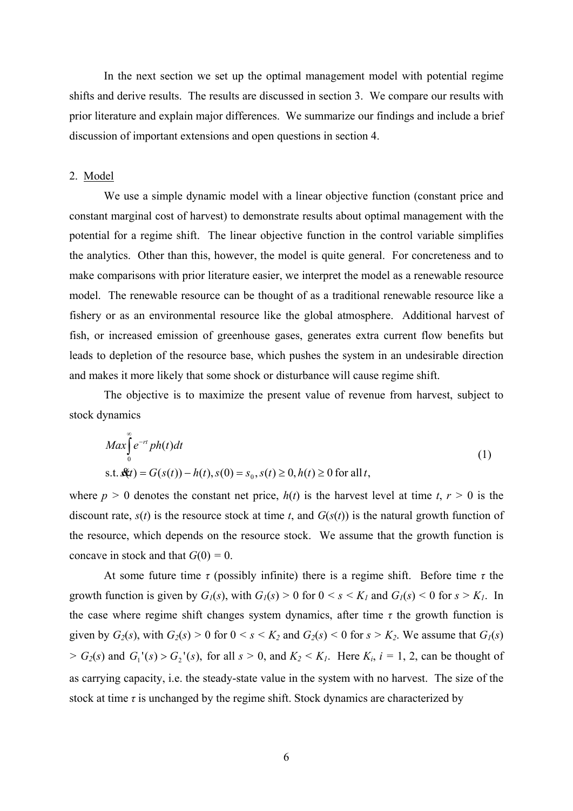In the next section we set up the optimal management model with potential regime shifts and derive results. The results are discussed in section 3. We compare our results with prior literature and explain major differences. We summarize our findings and include a brief discussion of important extensions and open questions in section 4.

#### 2. Model

We use a simple dynamic model with a linear objective function (constant price and constant marginal cost of harvest) to demonstrate results about optimal management with the potential for a regime shift. The linear objective function in the control variable simplifies the analytics. Other than this, however, the model is quite general. For concreteness and to make comparisons with prior literature easier, we interpret the model as a renewable resource model. The renewable resource can be thought of as a traditional renewable resource like a fishery or as an environmental resource like the global atmosphere. Additional harvest of fish, or increased emission of greenhouse gases, generates extra current flow benefits but leads to depletion of the resource base, which pushes the system in an undesirable direction and makes it more likely that some shock or disturbance will cause regime shift.

The objective is to maximize the present value of revenue from harvest, subject to stock dynamics

$$
Max \int_{0}^{\infty} e^{-rt} ph(t) dt
$$
  
s.t.  $\mathbf{f}(t) = G(s(t)) - h(t), s(0) = s_0, s(t) \ge 0, h(t) \ge 0 \text{ for all } t,$  (1)

where  $p > 0$  denotes the constant net price,  $h(t)$  is the harvest level at time  $t, r > 0$  is the discount rate,  $s(t)$  is the resource stock at time *t*, and  $G(s(t))$  is the natural growth function of the resource, which depends on the resource stock. We assume that the growth function is concave in stock and that  $G(0) = 0$ .

At some future time *τ* (possibly infinite) there is a regime shift. Before time *τ* the growth function is given by  $G_1(s)$ , with  $G_1(s) > 0$  for  $0 < s < K_1$  and  $G_1(s) < 0$  for  $s > K_1$ . In the case where regime shift changes system dynamics, after time  $\tau$  the growth function is given by  $G_2(s)$ , with  $G_2(s) > 0$  for  $0 \le s \le K_2$  and  $G_2(s) \le 0$  for  $s > K_2$ . We assume that  $G_1(s)$  $> G_2(s)$  and  $G_1'(s) > G_2'(s)$ , for all  $s > 0$ , and  $K_2 < K_1$ . Here  $K_i$ ,  $i = 1, 2$ , can be thought of as carrying capacity, i.e. the steady-state value in the system with no harvest. The size of the stock at time  $\tau$  is unchanged by the regime shift. Stock dynamics are characterized by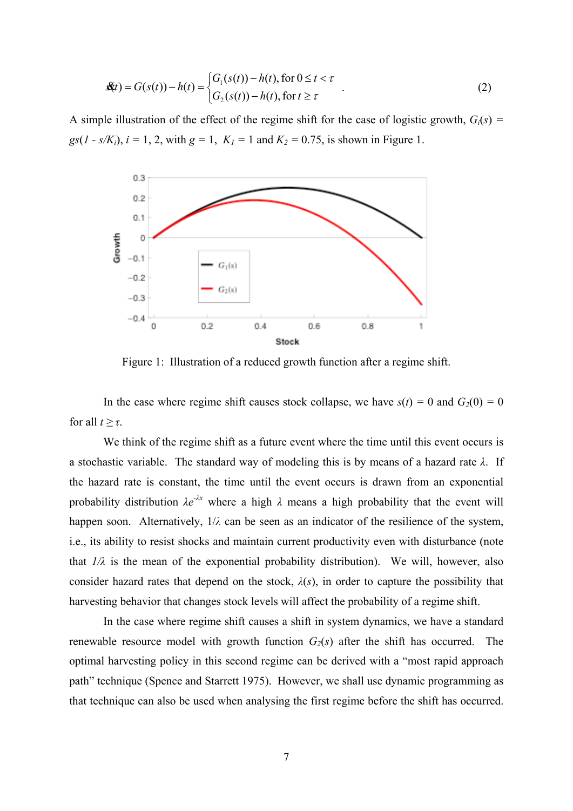$$
\mathbf{A}(t) = G(s(t)) - h(t) = \begin{cases} G_1(s(t)) - h(t), \text{ for } 0 \le t < \tau \\ G_2(s(t)) - h(t), \text{ for } t \ge \tau \end{cases} \tag{2}
$$

A simple illustration of the effect of the regime shift for the case of logistic growth,  $G_i(s)$  = *gs*(*1* - *s/K<sub>i</sub>*),  $i = 1, 2$ , with  $g = 1$ ,  $K_1 = 1$  and  $K_2 = 0.75$ , is shown in Figure 1.



Figure 1: Illustration of a reduced growth function after a regime shift.

In the case where regime shift causes stock collapse, we have  $s(t) = 0$  and  $G_2(0) = 0$ for all  $t \geq \tau$ .

We think of the regime shift as a future event where the time until this event occurs is a stochastic variable. The standard way of modeling this is by means of a hazard rate *λ*. If the hazard rate is constant, the time until the event occurs is drawn from an exponential probability distribution  $\lambda e^{-\lambda x}$  where a high  $\lambda$  means a high probability that the event will happen soon. Alternatively,  $1/\lambda$  can be seen as an indicator of the resilience of the system, i.e., its ability to resist shocks and maintain current productivity even with disturbance (note that  $1/\lambda$  is the mean of the exponential probability distribution). We will, however, also consider hazard rates that depend on the stock,  $\lambda(s)$ , in order to capture the possibility that harvesting behavior that changes stock levels will affect the probability of a regime shift.

In the case where regime shift causes a shift in system dynamics, we have a standard renewable resource model with growth function  $G_2(s)$  after the shift has occurred. The optimal harvesting policy in this second regime can be derived with a "most rapid approach path" technique (Spence and Starrett 1975). However, we shall use dynamic programming as that technique can also be used when analysing the first regime before the shift has occurred.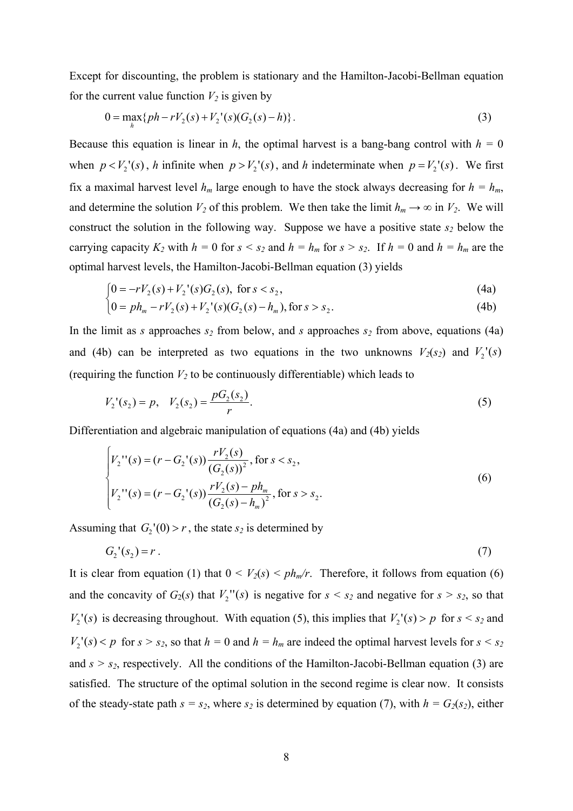Except for discounting, the problem is stationary and the Hamilton-Jacobi-Bellman equation for the current value function  $V_2$  is given by

$$
0 = \max_{h} \{ ph - rV_2(s) + V_2'(s)(G_2(s) - h) \}.
$$
 (3)

Because this equation is linear in *h*, the optimal harvest is a bang-bang control with  $h = 0$ when  $p < V_2'(s)$ , *h* infinite when  $p > V_2'(s)$ , and *h* indeterminate when  $p = V_2'(s)$ . We first fix a maximal harvest level  $h_m$  large enough to have the stock always decreasing for  $h = h_m$ , and determine the solution  $V_2$  of this problem. We then take the limit  $h_m \to \infty$  in  $V_2$ . We will construct the solution in the following way. Suppose we have a positive state  $s_2$  below the carrying capacity  $K_2$  with  $h = 0$  for  $s < s_2$  and  $h = h_m$  for  $s > s_2$ . If  $h = 0$  and  $h = h_m$  are the optimal harvest levels, the Hamilton-Jacobi-Bellman equation (3) yields

$$
\left(0 = -rV_2(s) + V_2'(s)G_2(s), \text{ for } s < s_2,\right) \tag{4a}
$$

$$
\begin{cases}\n0 = ph_m - rV_2(s) + V_2'(s)(G_2(s) - h_m), \text{ for } s > s_2.\n\end{cases}
$$
\n(4b)

In the limit as *s* approaches  $s_2$  from below, and *s* approaches  $s_2$  from above, equations (4a) and (4b) can be interpreted as two equations in the two unknowns  $V_2(s_2)$  and  $V_2'(s)$ (requiring the function  $V_2$  to be continuously differentiable) which leads to

$$
V_2'(s_2) = p, \quad V_2(s_2) = \frac{pG_2(s_2)}{r}.
$$
\n<sup>(5)</sup>

Differentiation and algebraic manipulation of equations (4a) and (4b) yields

$$
\begin{cases}\nV_2^{\prime\prime}(s) = (r - G_2^{\prime}(s)) \frac{r V_2(s)}{(G_2(s))^2}, \text{ for } s < s_2, \\
V_2^{\prime\prime}(s) = (r - G_2^{\prime}(s)) \frac{r V_2(s) - p h_m}{(G_2(s) - h_m)^2}, \text{ for } s > s_2.\n\end{cases}
$$
\n
$$
(6)
$$

Assuming that  $G_2'(0) > r$ , the state  $s_2$  is determined by

$$
G_2'(s_2) = r \tag{7}
$$

It is clear from equation (1) that  $0 < V_2(s) < ph_m/r$ . Therefore, it follows from equation (6) and the concavity of  $G_2(s)$  that  $V_2''(s)$  is negative for  $s \leq s_2$  and negative for  $s \geq s_2$ , so that  $V_2$ '(s) is decreasing throughout. With equation (5), this implies that  $V_2$ '(s) > p for  $s < s_2$  and  $V_2$ '(s) < p for  $s > s_2$ , so that  $h = 0$  and  $h = h_m$  are indeed the optimal harvest levels for  $s < s_2$ and  $s > s_2$ , respectively. All the conditions of the Hamilton-Jacobi-Bellman equation (3) are satisfied. The structure of the optimal solution in the second regime is clear now. It consists of the steady-state path  $s = s_2$ , where  $s_2$  is determined by equation (7), with  $h = G_2(s_2)$ , either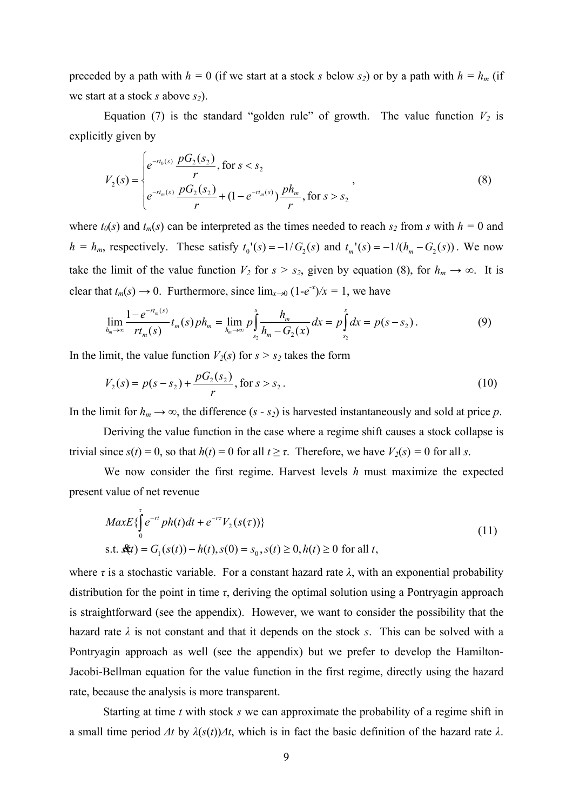preceded by a path with  $h = 0$  (if we start at a stock *s* below *s*<sub>2</sub>) or by a path with  $h = h_m$  (if we start at a stock *s* above *s*<sub>2</sub>).

Equation (7) is the standard "golden rule" of growth. The value function  $V_2$  is explicitly given by

$$
V_2(s) = \begin{cases} e^{-rt_0(s)} \frac{pG_2(s_2)}{r}, \text{ for } s < s_2\\ e^{-rt_m(s)} \frac{pG_2(s_2)}{r} + (1 - e^{-rt_m(s)}) \frac{ph_m}{r}, \text{ for } s > s_2 \end{cases}
$$
\n
$$
(8)
$$

where  $t_0(s)$  and  $t_m(s)$  can be interpreted as the times needed to reach  $s_2$  from *s* with  $h = 0$  and  $h = h_m$ , respectively. These satisfy  $t_0'(s) = -1/G_2(s)$  and  $t_m'(s) = -1/(h_m - G_2(s))$ . We now take the limit of the value function  $V_2$  for  $s > s_2$ , given by equation (8), for  $h_m \to \infty$ . It is clear that  $t_m(s) \to 0$ . Furthermore, since  $\lim_{x\to 0} (1-e^{-x})/x = 1$ , we have

$$
\lim_{h_m \to \infty} \frac{1 - e^{-rt_m(s)}}{rt_m(s)} t_m(s) ph_m = \lim_{h_m \to \infty} p \int_{s_2}^s \frac{h_m}{h_m - G_2(x)} dx = p \int_{s_2}^s dx = p(s - s_2).
$$
 (9)

In the limit, the value function  $V_2(s)$  for  $s > s_2$  takes the form

$$
V_2(s) = p(s - s_2) + \frac{pG_2(s_2)}{r}, \text{ for } s > s_2.
$$
 (10)

In the limit for  $h_m \to \infty$ , the difference  $(s - s_2)$  is harvested instantaneously and sold at price *p*.

Deriving the value function in the case where a regime shift causes a stock collapse is trivial since *s*(*t*) = 0, so that *h*(*t*) = 0 for all *t*  $\geq \tau$ . Therefore, we have *V*<sub>2</sub>(*s*) = 0 for all *s*.

We now consider the first regime. Harvest levels *h* must maximize the expected present value of net revenue

$$
MaxE\{\int_{0}^{t} e^{-rt} ph(t)dt + e^{-rt}V_{2}(s(\tau))\}
$$
  
s.t.  $\mathbf{f}(t) = G_{1}(s(t)) - h(t), s(0) = s_{0}, s(t) \ge 0, h(t) \ge 0 \text{ for all } t,$  (11)

where  $\tau$  is a stochastic variable. For a constant hazard rate  $\lambda$ , with an exponential probability distribution for the point in time *τ*, deriving the optimal solution using a Pontryagin approach is straightforward (see the appendix). However, we want to consider the possibility that the hazard rate *λ* is not constant and that it depends on the stock *s*. This can be solved with a Pontryagin approach as well (see the appendix) but we prefer to develop the Hamilton-Jacobi-Bellman equation for the value function in the first regime, directly using the hazard rate, because the analysis is more transparent.

 Starting at time *t* with stock *s* we can approximate the probability of a regime shift in a small time period *Δt* by *λ*(*s*(*t*))*Δt*, which is in fact the basic definition of the hazard rate *λ*.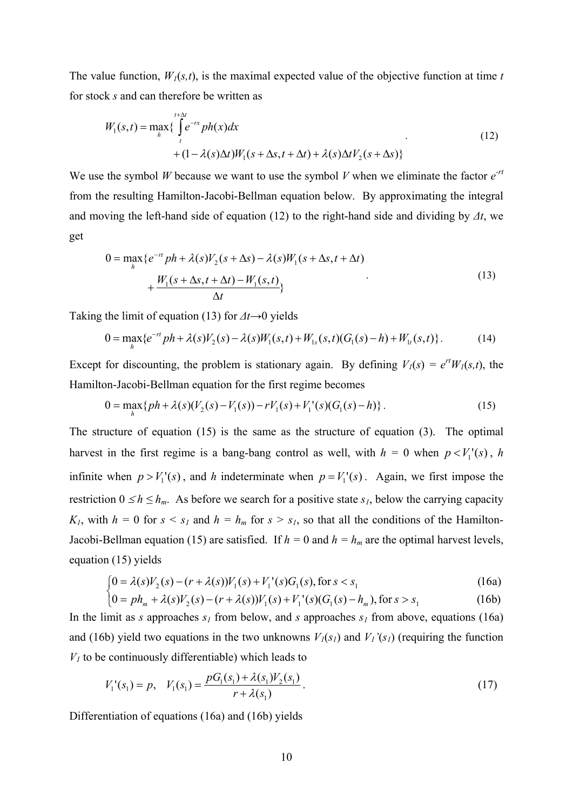The value function,  $W_l(s,t)$ , is the maximal expected value of the objective function at time *t* for stock *s* and can therefore be written as

$$
W_1(s,t) = \max_{h} \left\{ \int_{t}^{t+\Delta t} e^{-rx} ph(x) dx + (1 - \lambda(s)\Delta t)W_1(s + \Delta s, t + \Delta t) + \lambda(s)\Delta t V_2(s + \Delta s) \right\}
$$
(12)

We use the symbol *W* because we want to use the symbol *V* when we eliminate the factor  $e^{-rt}$ from the resulting Hamilton-Jacobi-Bellman equation below. By approximating the integral and moving the left-hand side of equation (12) to the right-hand side and dividing by *Δt*, we get

$$
0 = \max_{h} \{ e^{-rt} ph + \lambda(s) V_2(s + \Delta s) - \lambda(s) W_1(s + \Delta s, t + \Delta t) + \frac{W_1(s + \Delta s, t + \Delta t) - W_1(s, t)}{\Delta t} \}
$$
\n(13)

Taking the limit of equation (13) for *Δt→*0 yields

$$
0 = \max_{h} \{e^{-rt} ph + \lambda(s) V_2(s) - \lambda(s) W_1(s,t) + W_{1s}(s,t) (G_1(s) - h) + W_{1t}(s,t) \}.
$$
 (14)

Except for discounting, the problem is stationary again. By defining  $V_1(s) = e^{rt}W_1(s,t)$ , the Hamilton-Jacobi-Bellman equation for the first regime becomes

$$
0 = \max_{h} \{ ph + \lambda(s)(V_2(s) - V_1(s)) - rV_1(s) + V_1'(s)(G_1(s) - h) \}.
$$
 (15)

The structure of equation (15) is the same as the structure of equation (3). The optimal harvest in the first regime is a bang-bang control as well, with  $h = 0$  when  $p < V_1'(s)$ , h infinite when  $p > V_1'(s)$ , and *h* indeterminate when  $p = V_1'(s)$ . Again, we first impose the restriction  $0 \le h \le h_m$ . As before we search for a positive state  $s_l$ , below the carrying capacity *K<sub>1</sub>*, with  $h = 0$  for  $s \leq s_1$  and  $h = h_m$  for  $s > s_1$ , so that all the conditions of the Hamilton-Jacobi-Bellman equation (15) are satisfied. If  $h = 0$  and  $h = h_m$  are the optimal harvest levels, equation (15) yields

$$
\begin{cases}\n0 = \lambda(s)V_2(s) - (r + \lambda(s))V_1(s) + V_1'(s)G_1(s), \text{ for } s < s_1 \\
0 < h_1 + \lambda(s)V_1(s) - (n + \lambda(s))V_2(s) + V_1(s)(G_1(s) - h_1) \text{ for } s > s\n\end{cases} \tag{16a}
$$

$$
\left(0 = ph_m + \lambda(s)V_2(s) - (r + \lambda(s))V_1(s) + V_1'(s)(G_1(s) - h_m), \text{for } s > s_1\right)
$$
 (16b)

In the limit as *s* approaches  $s_1$  from below, and *s* approaches  $s_1$  from above, equations (16a) and (16b) yield two equations in the two unknowns  $V_1(s_1)$  and  $V_1'(s_1)$  (requiring the function  $V_I$  to be continuously differentiable) which leads to

$$
V_1'(s_1) = p, \quad V_1(s_1) = \frac{pG_1(s_1) + \lambda(s_1)V_2(s_1)}{r + \lambda(s_1)}.
$$
\n(17)

Differentiation of equations (16a) and (16b) yields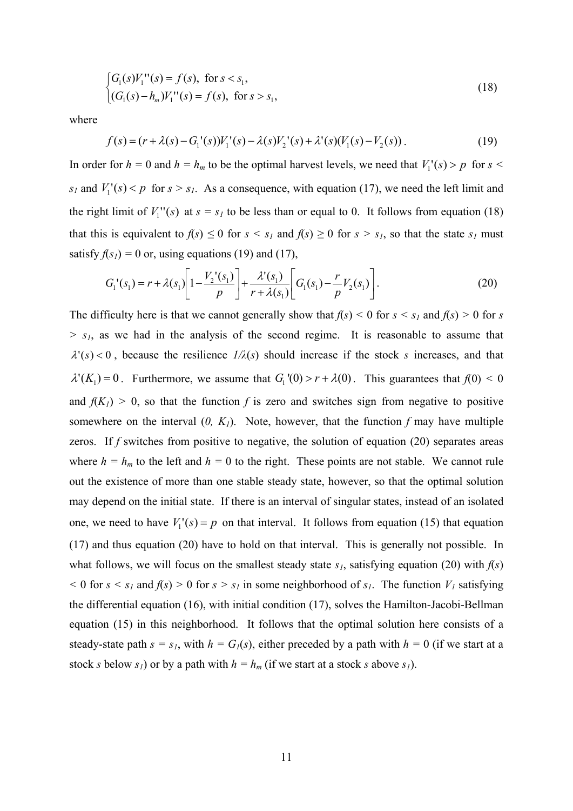$$
\begin{cases} G_1(s)V_1''(s) = f(s), & \text{for } s < s_1, \\ (G_1(s) - h_m)V_1''(s) = f(s), & \text{for } s > s_1, \end{cases} \tag{18}
$$

where

$$
f(s) = (r + \lambda(s) - G_1'(s))V_1'(s) - \lambda(s)V_2'(s) + \lambda'(s)(V_1(s) - V_2(s)).
$$
\n(19)

In order for  $h = 0$  and  $h = h_m$  to be the optimal harvest levels, we need that  $V_1'(s) > p$  for  $s <$ *s<sub>1</sub>* and  $V_1(s) < p$  for  $s > s_1$ . As a consequence, with equation (17), we need the left limit and the right limit of  $V_1''(s)$  at  $s = s<sub>I</sub>$  to be less than or equal to 0. It follows from equation (18) that this is equivalent to  $f(s) \leq 0$  for  $s < s<sub>l</sub>$  and  $f(s) \geq 0$  for  $s > s<sub>l</sub>$ , so that the state  $s<sub>l</sub>$  must satisfy  $f(s<sub>1</sub>) = 0$  or, using equations (19) and (17),

$$
G_1'(s_1) = r + \lambda(s_1) \left[ 1 - \frac{V_2'(s_1)}{p} \right] + \frac{\lambda'(s_1)}{r + \lambda(s_1)} \left[ G_1(s_1) - \frac{r}{p} V_2(s_1) \right].
$$
 (20)

The difficulty here is that we cannot generally show that  $f(s) < 0$  for  $s < s<sub>1</sub>$  and  $f(s) > 0$  for  $s$ *> s1*, as we had in the analysis of the second regime. It is reasonable to assume that  $\lambda'(s) < 0$ , because the resilience  $1/\lambda(s)$  should increase if the stock *s* increases, and that  $\lambda'(K_1) = 0$ . Furthermore, we assume that  $G_1'(0) > r + \lambda(0)$ . This guarantees that  $f(0) < 0$ and  $f(K_1) > 0$ , so that the function f is zero and switches sign from negative to positive somewhere on the interval  $(0, K<sub>1</sub>)$ . Note, however, that the function  $f$  may have multiple zeros. If *f* switches from positive to negative, the solution of equation (20) separates areas where  $h = h_m$  to the left and  $h = 0$  to the right. These points are not stable. We cannot rule out the existence of more than one stable steady state, however, so that the optimal solution may depend on the initial state. If there is an interval of singular states, instead of an isolated one, we need to have  $V_1'(s) = p$  on that interval. It follows from equation (15) that equation (17) and thus equation (20) have to hold on that interval. This is generally not possible. In what follows, we will focus on the smallest steady state  $s<sub>l</sub>$ , satisfying equation (20) with  $f(s)$  $<$  0 for  $s$   $<$   $s<sub>I</sub>$  and  $f(s)$   $>$  0 for  $s > s<sub>I</sub>$  in some neighborhood of  $s<sub>I</sub>$ . The function  $V<sub>I</sub>$  satisfying the differential equation (16), with initial condition (17), solves the Hamilton-Jacobi-Bellman equation (15) in this neighborhood. It follows that the optimal solution here consists of a steady-state path  $s = s<sub>l</sub>$ , with  $h = G<sub>l</sub>(s)$ , either preceded by a path with  $h = 0$  (if we start at a stock *s* below  $s_1$ ) or by a path with  $h = h_m$  (if we start at a stock *s* above  $s_1$ ).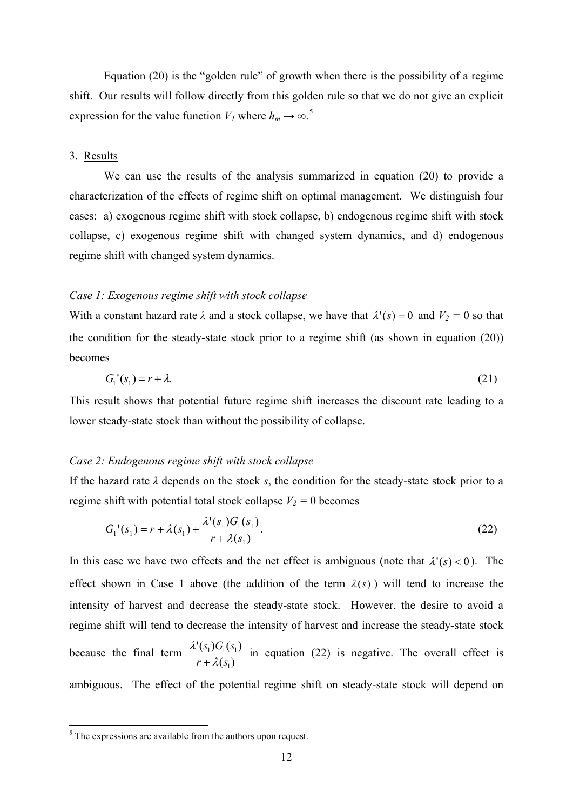Equation (20) is the "golden rule" of growth when there is the possibility of a regime shift. Our results will follow directly from this golden rule so that we do not give an explicit expression for the value function  $V_I$  where  $h_m \rightarrow \infty$ .<sup>[5](#page-12-0)</sup>

#### 3. Results

We can use the results of the analysis summarized in equation (20) to provide a characterization of the effects of regime shift on optimal management. We distinguish four cases: a) exogenous regime shift with stock collapse, b) endogenous regime shift with stock collapse, c) exogenous regime shift with changed system dynamics, and d) endogenous regime shift with changed system dynamics.

#### *Case 1: Exogenous regime shift with stock collapse*

With a constant hazard rate  $\lambda$  and a stock collapse, we have that  $\lambda'(s) = 0$  and  $V_2 = 0$  so that the condition for the steady-state stock prior to a regime shift (as shown in equation (20)) becomes

$$
G_1'(s_1) = r + \lambda. \tag{21}
$$

This result shows that potential future regime shift increases the discount rate leading to a lower steady-state stock than without the possibility of collapse.

#### *Case 2: Endogenous regime shift with stock collapse*

If the hazard rate  $\lambda$  depends on the stock *s*, the condition for the steady-state stock prior to a regime shift with potential total stock collapse  $V_2 = 0$  becomes

$$
G_1'(s_1) = r + \lambda(s_1) + \frac{\lambda'(s_1)G_1(s_1)}{r + \lambda(s_1)}.
$$
\n(22)

In this case we have two effects and the net effect is ambiguous (note that  $\lambda'(s) < 0$ ). The effect shown in Case 1 above (the addition of the term  $\lambda(s)$ ) will tend to increase the intensity of harvest and decrease the steady-state stock. However, the desire to avoid a regime shift will tend to decrease the intensity of harvest and increase the steady-state stock because the final term  $(s_1)$  $'(s_1)G_1(s_1)$ 1  $1^{10}1^{10}1$  $r + \lambda(s)$  $s_1)G_1(s)$ λ λ + in equation (22) is negative. The overall effect is ambiguous. The effect of the potential regime shift on steady-state stock will depend on

<span id="page-12-0"></span><sup>&</sup>lt;sup>5</sup>The expressions are available from the authors upon request.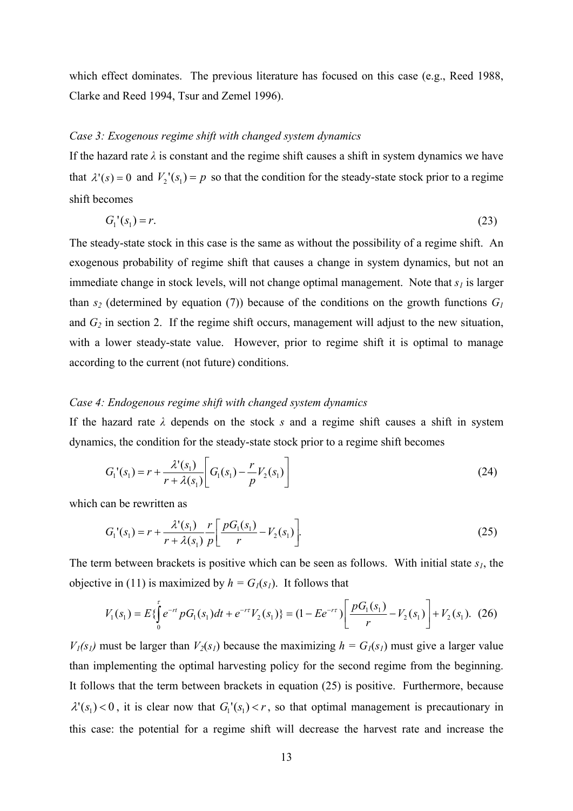which effect dominates. The previous literature has focused on this case (e.g., Reed 1988, Clarke and Reed 1994, Tsur and Zemel 1996).

#### *Case 3: Exogenous regime shift with changed system dynamics*

If the hazard rate  $\lambda$  is constant and the regime shift causes a shift in system dynamics we have that  $\lambda'(s) = 0$  and  $V_2'(s_1) = p$  so that the condition for the steady-state stock prior to a regime shift becomes

$$
G_1'(s_1) = r. \tag{23}
$$

The steady-state stock in this case is the same as without the possibility of a regime shift. An exogenous probability of regime shift that causes a change in system dynamics, but not an immediate change in stock levels, will not change optimal management. Note that  $s_l$  is larger than  $s_2$  (determined by equation (7)) because of the conditions on the growth functions  $G_1$ and *G2* in section 2. If the regime shift occurs, management will adjust to the new situation, with a lower steady-state value. However, prior to regime shift it is optimal to manage according to the current (not future) conditions.

#### *Case 4: Endogenous regime shift with changed system dynamics*

If the hazard rate *λ* depends on the stock *s* and a regime shift causes a shift in system dynamics, the condition for the steady-state stock prior to a regime shift becomes

$$
G_1'(s_1) = r + \frac{\lambda'(s_1)}{r + \lambda(s_1)} \left[ G_1(s_1) - \frac{r}{p} V_2(s_1) \right]
$$
 (24)

which can be rewritten as

$$
G_1'(s_1) = r + \frac{\lambda'(s_1)}{r + \lambda(s_1)} \frac{r}{p} \left[ \frac{pG_1(s_1)}{r} - V_2(s_1) \right].
$$
 (25)

The term between brackets is positive which can be seen as follows. With initial state *s1*, the objective in (11) is maximized by  $h = G_I(s_I)$ . It follows that

$$
V_1(s_1) = E\{\int_0^r e^{-rt} p G_1(s_1) dt + e^{-rt} V_2(s_1) \} = (1 - E e^{-rt}) \left[ \frac{p G_1(s_1)}{r} - V_2(s_1) \right] + V_2(s_1). \tag{26}
$$

 $V_1(s_1)$  must be larger than  $V_2(s_1)$  because the maximizing  $h = G_1(s_1)$  must give a larger value than implementing the optimal harvesting policy for the second regime from the beginning. It follows that the term between brackets in equation (25) is positive. Furthermore, because  $\lambda'(s_1) < 0$ , it is clear now that  $G_1'(s_1) < r$ , so that optimal management is precautionary in this case: the potential for a regime shift will decrease the harvest rate and increase the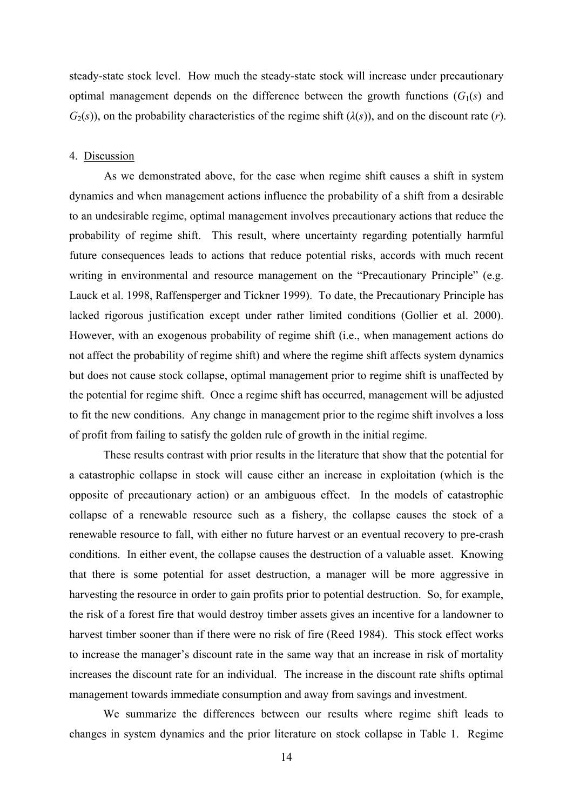steady-state stock level. How much the steady-state stock will increase under precautionary optimal management depends on the difference between the growth functions  $(G_1(s))$  and  $G_2(s)$ ), on the probability characteristics of the regime shift  $(\lambda(s))$ , and on the discount rate (*r*).

#### 4. Discussion

As we demonstrated above, for the case when regime shift causes a shift in system dynamics and when management actions influence the probability of a shift from a desirable to an undesirable regime, optimal management involves precautionary actions that reduce the probability of regime shift. This result, where uncertainty regarding potentially harmful future consequences leads to actions that reduce potential risks, accords with much recent writing in environmental and resource management on the "Precautionary Principle" (e.g. Lauck et al. 1998, Raffensperger and Tickner 1999). To date, the Precautionary Principle has lacked rigorous justification except under rather limited conditions (Gollier et al. 2000). However, with an exogenous probability of regime shift (i.e., when management actions do not affect the probability of regime shift) and where the regime shift affects system dynamics but does not cause stock collapse, optimal management prior to regime shift is unaffected by the potential for regime shift. Once a regime shift has occurred, management will be adjusted to fit the new conditions. Any change in management prior to the regime shift involves a loss of profit from failing to satisfy the golden rule of growth in the initial regime.

 These results contrast with prior results in the literature that show that the potential for a catastrophic collapse in stock will cause either an increase in exploitation (which is the opposite of precautionary action) or an ambiguous effect. In the models of catastrophic collapse of a renewable resource such as a fishery, the collapse causes the stock of a renewable resource to fall, with either no future harvest or an eventual recovery to pre-crash conditions. In either event, the collapse causes the destruction of a valuable asset. Knowing that there is some potential for asset destruction, a manager will be more aggressive in harvesting the resource in order to gain profits prior to potential destruction. So, for example, the risk of a forest fire that would destroy timber assets gives an incentive for a landowner to harvest timber sooner than if there were no risk of fire (Reed 1984). This stock effect works to increase the manager's discount rate in the same way that an increase in risk of mortality increases the discount rate for an individual. The increase in the discount rate shifts optimal management towards immediate consumption and away from savings and investment.

 We summarize the differences between our results where regime shift leads to changes in system dynamics and the prior literature on stock collapse in Table 1. Regime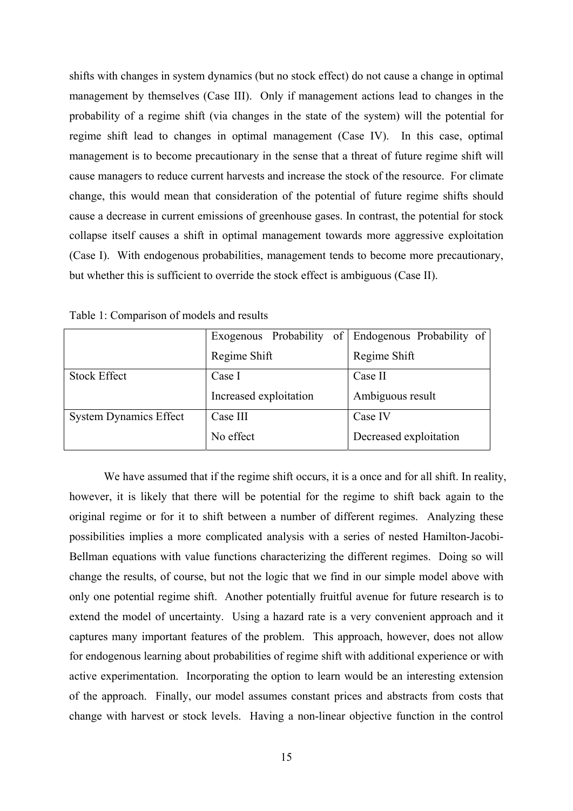shifts with changes in system dynamics (but no stock effect) do not cause a change in optimal management by themselves (Case III). Only if management actions lead to changes in the probability of a regime shift (via changes in the state of the system) will the potential for regime shift lead to changes in optimal management (Case IV). In this case, optimal management is to become precautionary in the sense that a threat of future regime shift will cause managers to reduce current harvests and increase the stock of the resource. For climate change, this would mean that consideration of the potential of future regime shifts should cause a decrease in current emissions of greenhouse gases. In contrast, the potential for stock collapse itself causes a shift in optimal management towards more aggressive exploitation (Case I). With endogenous probabilities, management tends to become more precautionary, but whether this is sufficient to override the stock effect is ambiguous (Case II).

|                               | Exogenous Probability<br>of | Endogenous Probability of |
|-------------------------------|-----------------------------|---------------------------|
|                               | Regime Shift                | Regime Shift              |
| <b>Stock Effect</b>           | Case I                      | Case II                   |
|                               | Increased exploitation      | Ambiguous result          |
| <b>System Dynamics Effect</b> | Case III                    | Case IV                   |
|                               | No effect                   | Decreased exploitation    |

Table 1: Comparison of models and results

We have assumed that if the regime shift occurs, it is a once and for all shift. In reality, however, it is likely that there will be potential for the regime to shift back again to the original regime or for it to shift between a number of different regimes. Analyzing these possibilities implies a more complicated analysis with a series of nested Hamilton-Jacobi-Bellman equations with value functions characterizing the different regimes. Doing so will change the results, of course, but not the logic that we find in our simple model above with only one potential regime shift. Another potentially fruitful avenue for future research is to extend the model of uncertainty. Using a hazard rate is a very convenient approach and it captures many important features of the problem. This approach, however, does not allow for endogenous learning about probabilities of regime shift with additional experience or with active experimentation. Incorporating the option to learn would be an interesting extension of the approach. Finally, our model assumes constant prices and abstracts from costs that change with harvest or stock levels. Having a non-linear objective function in the control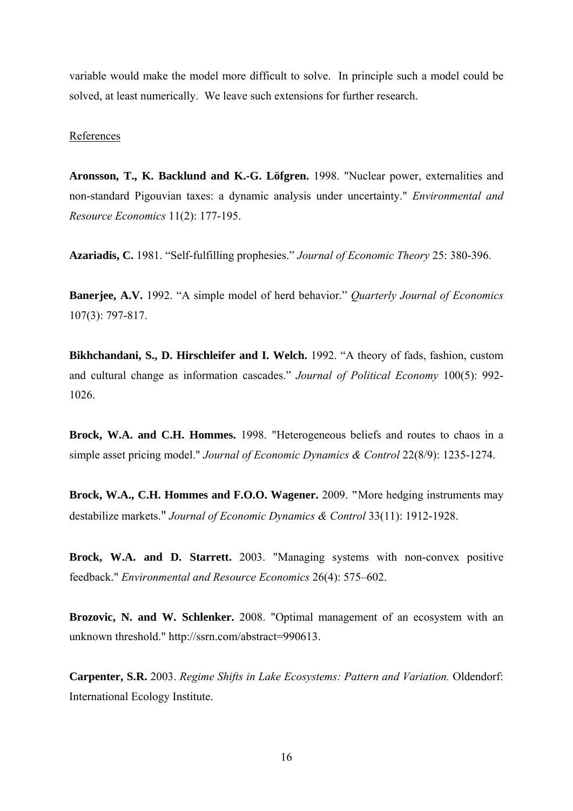variable would make the model more difficult to solve. In principle such a model could be solved, at least numerically. We leave such extensions for further research.

#### References

**Aronsson, T., K. Backlund and K.-G. Löfgren.** 1998. "Nuclear power, externalities and non-standard Pigouvian taxes: a dynamic analysis under uncertainty." *Environmental and Resource Economics* 11(2): 177-195.

**Azariadis, C.** 1981. "Self-fulfilling prophesies." *Journal of Economic Theory* 25: 380-396.

**Banerjee, A.V.** 1992. "A simple model of herd behavior." *Quarterly Journal of Economics* 107(3): 797-817.

**Bikhchandani, S., D. Hirschleifer and I. Welch.** 1992. "A theory of fads, fashion, custom and cultural change as information cascades." *Journal of Political Economy* 100(5): 992- 1026.

**Brock, W.A. and C.H. Hommes.** 1998. "Heterogeneous beliefs and routes to chaos in a simple asset pricing model." *Journal of Economic Dynamics & Control* 22(8/9): 1235-1274.

**Brock, W.A., C.H. Hommes and F.O.O. Wagener.** 2009. **"**More hedging instruments may destabilize markets." *Journal of Economic Dynamics & Control* 33(11): 1912-1928.

**Brock, W.A. and D. Starrett.** 2003. "Managing systems with non-convex positive feedback." *Environmental and Resource Economics* 26(4): 575–602.

**Brozovic, N. and W. Schlenker.** 2008. "Optimal management of an ecosystem with an unknown threshold." http://ssrn.com/abstract=990613.

**Carpenter, S.R.** 2003. *Regime Shifts in Lake Ecosystems: Pattern and Variation.* Oldendorf: International Ecology Institute.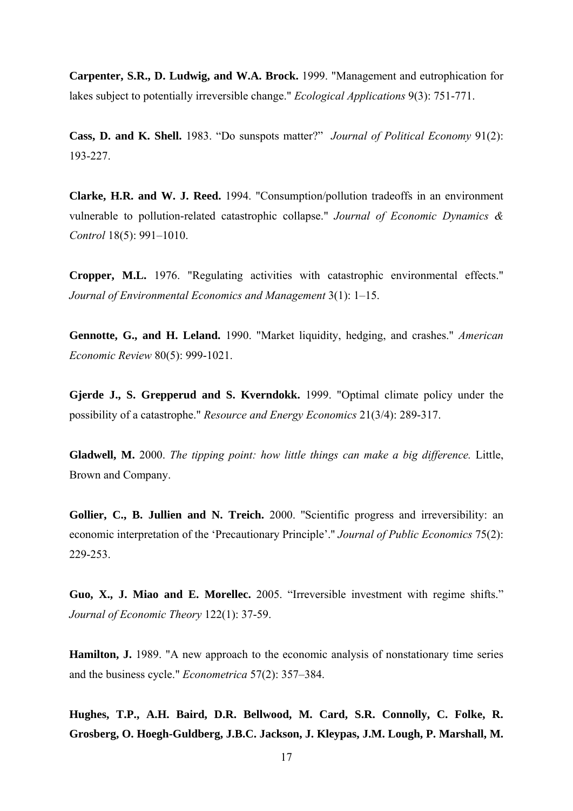**Carpenter, S.R., D. Ludwig, and W.A. Brock.** 1999. "Management and eutrophication for lakes subject to potentially irreversible change." *Ecological Applications* 9(3): 751-771.

**Cass, D. and K. Shell.** 1983. "Do sunspots matter?" *Journal of Political Economy* 91(2): 193-227.

**Clarke, H.R. and W. J. Reed.** 1994. "Consumption/pollution tradeoffs in an environment vulnerable to pollution-related catastrophic collapse." *Journal of Economic Dynamics & Control* 18(5): 991–1010.

**Cropper, M.L.** 1976. "Regulating activities with catastrophic environmental effects." *Journal of Environmental Economics and Management* 3(1): 1–15.

**Gennotte, G., and H. Leland.** 1990. "Market liquidity, hedging, and crashes." *American Economic Review* 80(5): 999-1021.

**Gjerde J., S. Grepperud and S. Kverndokk.** 1999. "Optimal climate policy under the possibility of a catastrophe." *Resource and Energy Economics* 21(3/4): 289-317.

**Gladwell, M.** 2000. *The tipping point: how little things can make a big difference.* Little, Brown and Company.

**Gollier, C., B. Jullien and N. Treich.** 2000. ''Scientific progress and irreversibility: an economic interpretation of the 'Precautionary Principle'.'' *Journal of Public Economics* 75(2): 229-253.

**Guo, X., J. Miao and E. Morellec.** 2005. "Irreversible investment with regime shifts." *Journal of Economic Theory* 122(1): 37-59.

**Hamilton, J.** 1989. "A new approach to the economic analysis of nonstationary time series and the business cycle." *Econometrica* 57(2): 357–384.

**Hughes, T.P., A.H. Baird, D.R. Bellwood, M. Card, S.R. Connolly, C. Folke, R. Grosberg, O. Hoegh-Guldberg, J.B.C. Jackson, J. Kleypas, J.M. Lough, P. Marshall, M.**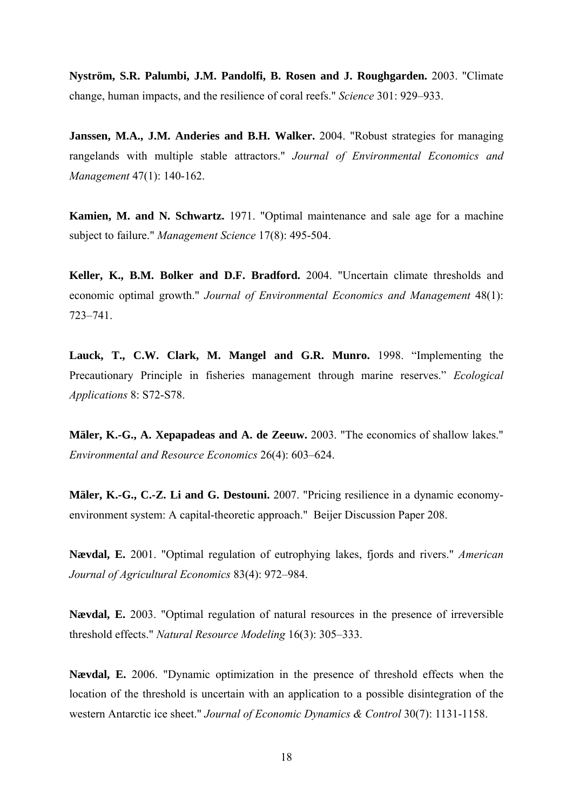**Nyström, S.R. Palumbi, J.M. Pandolfi, B. Rosen and J. Roughgarden.** 2003. "Climate change, human impacts, and the resilience of coral reefs." *Science* 301: 929–933.

**Janssen, M.A., J.M. Anderies and B.H. Walker.** 2004. "Robust strategies for managing rangelands with multiple stable attractors." *Journal of Environmental Economics and Management* 47(1): 140-162.

**Kamien, M. and N. Schwartz.** 1971. "Optimal maintenance and sale age for a machine subject to failure." *Management Science* 17(8): 495-504.

**Keller, K., B.M. Bolker and D.F. Bradford.** 2004. "Uncertain climate thresholds and economic optimal growth." *Journal of Environmental Economics and Management* 48(1): 723–741.

**Lauck, T., C.W. Clark, M. Mangel and G.R. Munro.** 1998. "Implementing the Precautionary Principle in fisheries management through marine reserves." *Ecological Applications* 8: S72-S78.

**Mäler, K.-G., A. Xepapadeas and A. de Zeeuw.** 2003. "The economics of shallow lakes." *Environmental and Resource Economics* 26(4): 603–624.

**Mäler, K.-G., C.-Z. Li and G. Destouni.** 2007. "Pricing resilience in a dynamic economyenvironment system: A capital-theoretic approach." Beijer Discussion Paper 208.

**Nævdal, E.** 2001. "Optimal regulation of eutrophying lakes, fjords and rivers." *American Journal of Agricultural Economics* 83(4): 972–984.

**Nævdal, E.** 2003. "Optimal regulation of natural resources in the presence of irreversible threshold effects." *Natural Resource Modeling* 16(3): 305–333.

**Nævdal, E.** 2006. "Dynamic optimization in the presence of threshold effects when the location of the threshold is uncertain with an application to a possible disintegration of the western Antarctic ice sheet." *Journal of Economic Dynamics & Control* 30(7): 1131-1158.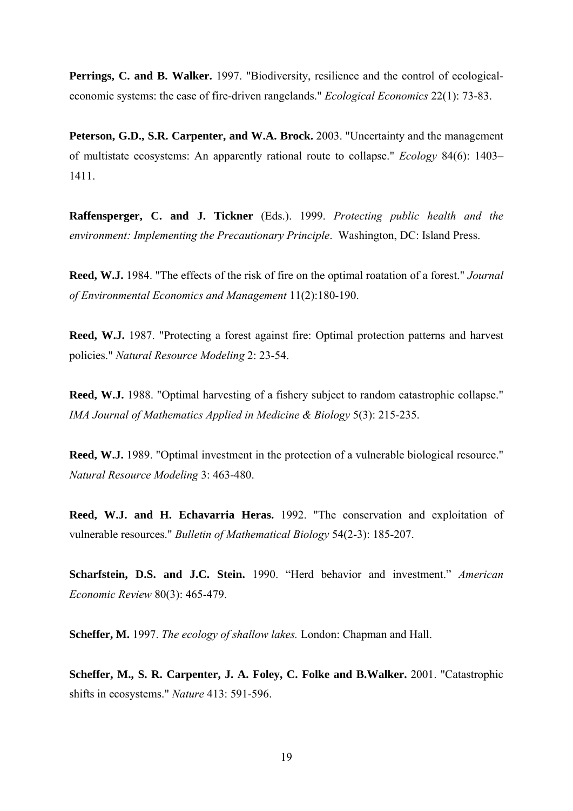**Perrings, C. and B. Walker.** 1997. "Biodiversity, resilience and the control of ecologicaleconomic systems: the case of fire-driven rangelands." *Ecological Economics* 22(1): 73-83.

**Peterson, G.D., S.R. Carpenter, and W.A. Brock.** 2003. "Uncertainty and the management of multistate ecosystems: An apparently rational route to collapse." *Ecology* 84(6): 1403– 1411.

**Raffensperger, C. and J. Tickner** (Eds.). 1999. *Protecting public health and the environment: Implementing the Precautionary Principle*. Washington, DC: Island Press.

**Reed, W.J.** 1984. "The effects of the risk of fire on the optimal roatation of a forest." *Journal of Environmental Economics and Management* 11(2):180-190.

**Reed, W.J.** 1987. "Protecting a forest against fire: Optimal protection patterns and harvest policies." *Natural Resource Modeling* 2: 23-54.

**Reed, W.J.** 1988. "Optimal harvesting of a fishery subject to random catastrophic collapse." *IMA Journal of Mathematics Applied in Medicine & Biology* 5(3): 215-235.

**Reed, W.J.** 1989. "Optimal investment in the protection of a vulnerable biological resource." *Natural Resource Modeling* 3: 463-480.

**Reed, W.J. and H. Echavarria Heras.** 1992. "The conservation and exploitation of vulnerable resources." *Bulletin of Mathematical Biology* 54(2-3): 185-207.

**Scharfstein, D.S. and J.C. Stein.** 1990. "Herd behavior and investment." *American Economic Review* 80(3): 465-479.

**Scheffer, M.** 1997. *The ecology of shallow lakes.* London: Chapman and Hall.

**Scheffer, M., S. R. Carpenter, J. A. Foley, C. Folke and B.Walker.** 2001. "Catastrophic shifts in ecosystems." *Nature* 413: 591-596.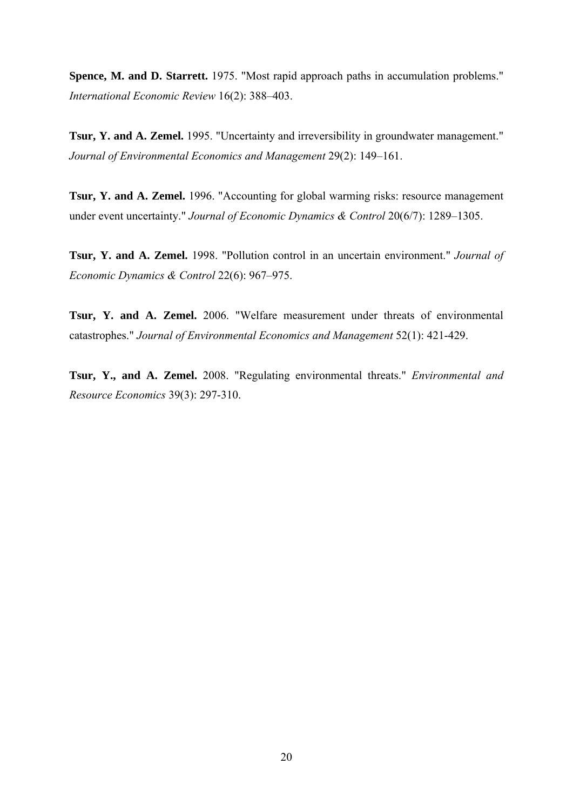**Spence, M. and D. Starrett.** 1975. "Most rapid approach paths in accumulation problems." *International Economic Review* 16(2): 388–403.

Tsur, Y. and A. Zemel. 1995. "Uncertainty and irreversibility in groundwater management." *Journal of Environmental Economics and Management* 29(2): 149–161.

**Tsur, Y. and A. Zemel.** 1996. "Accounting for global warming risks: resource management under event uncertainty." *Journal of Economic Dynamics & Control* 20(6/7): 1289–1305.

**Tsur, Y. and A. Zemel.** 1998. "Pollution control in an uncertain environment." *Journal of Economic Dynamics & Control* 22(6): 967–975.

**Tsur, Y. and A. Zemel.** 2006. "Welfare measurement under threats of environmental catastrophes." *Journal of Environmental Economics and Management* 52(1): 421-429.

**Tsur, Y., and A. Zemel.** 2008. "Regulating environmental threats." *Environmental and Resource Economics* 39(3): 297-310.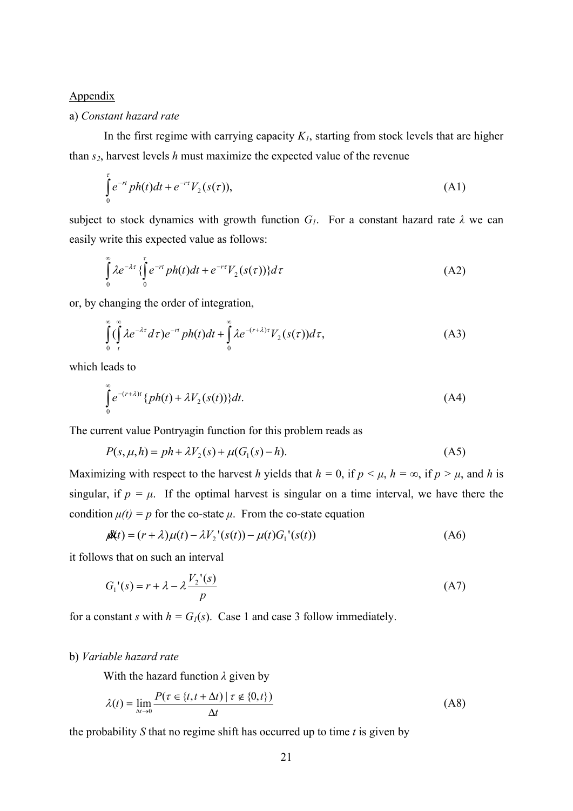#### Appendix

#### a) *Constant hazard rate*

In the first regime with carrying capacity  $K_I$ , starting from stock levels that are higher than  $s_2$ , harvest levels  $h$  must maximize the expected value of the revenue

$$
\int_{0}^{\tau} e^{-rt} ph(t)dt + e^{-rt} V_2(s(\tau)),
$$
\n(A1)

subject to stock dynamics with growth function  $G_l$ . For a constant hazard rate  $\lambda$  we can easily write this expected value as follows:

$$
\int_{0}^{\infty} \lambda e^{-\lambda \tau} \left\{ \int_{0}^{\tau} e^{-rt} ph(t) dt + e^{-rt} V_2(s(\tau)) \right\} d\tau
$$
 (A2)

or, by changing the order of integration,

$$
\int_{0}^{\infty} \left(\int_{t}^{\infty} \lambda e^{-\lambda \tau} d\tau\right) e^{-rt} ph(t) dt + \int_{0}^{\infty} \lambda e^{-(r+\lambda)\tau} V_{2}(s(\tau)) d\tau, \tag{A3}
$$

which leads to

$$
\int_{0}^{\infty} e^{-(r+\lambda)t} \{ph(t) + \lambda V_2(s(t))\} dt.
$$
 (A4)

The current value Pontryagin function for this problem reads as

$$
P(s, \mu, h) = ph + \lambda V_2(s) + \mu (G_1(s) - h).
$$
 (A5)

Maximizing with respect to the harvest *h* yields that  $h = 0$ , if  $p < \mu$ ,  $h = \infty$ , if  $p > \mu$ , and *h* is singular, if  $p = \mu$ . If the optimal harvest is singular on a time interval, we have there the condition  $\mu(t) = p$  for the co-state  $\mu$ . From the co-state equation

$$
\mathbf{\mathcal{A}}(t) = (r + \lambda)\mu(t) - \lambda V_2'(s(t)) - \mu(t)G_1'(s(t))
$$
\n(A6)

it follows that on such an interval

$$
G_1'(s) = r + \lambda - \lambda \frac{V_2'(s)}{p}
$$
 (A7)

for a constant *s* with  $h = G<sub>I</sub>(s)$ . Case 1 and case 3 follow immediately.

#### b) *Variable hazard rate*

With the hazard function *λ* given by

$$
\lambda(t) = \lim_{\Delta t \to 0} \frac{P(\tau \in \{t, t + \Delta t \mid \tau \notin \{0, t\})}{\Delta t}
$$
\n(A8)

the probability *S* that no regime shift has occurred up to time *t* is given by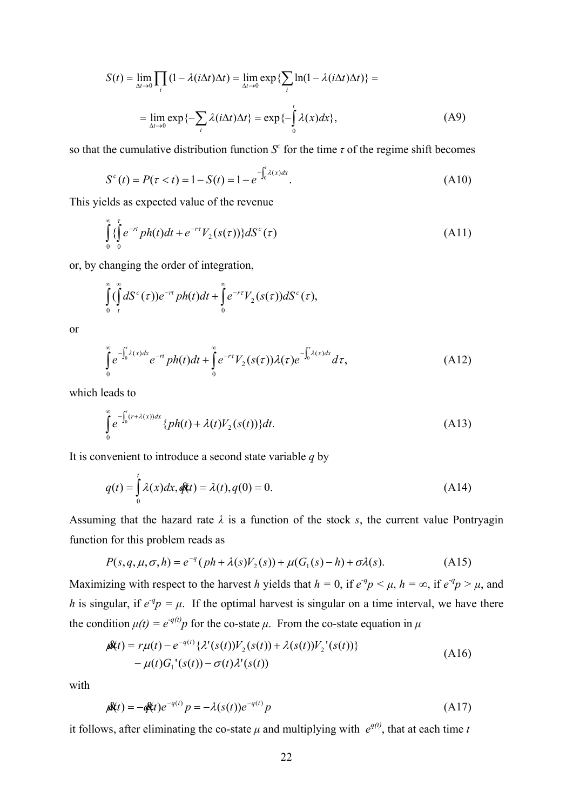$$
S(t) = \lim_{\Delta t \to 0} \prod_{i} (1 - \lambda(i\Delta t)\Delta t) = \lim_{\Delta t \to 0} \exp\left\{\sum_{i} \ln(1 - \lambda(i\Delta t)\Delta t)\right\} =
$$
  
= 
$$
\lim_{\Delta t \to 0} \exp\left\{-\sum_{i} \lambda(i\Delta t)\Delta t\right\} = \exp\left\{-\int_{0}^{t} \lambda(x)dx\right\},
$$
 (A9)

so that the cumulative distribution function  $S^c$  for the time  $\tau$  of the regime shift becomes

$$
S^{c}(t) = P(\tau < t) = 1 - S(t) = 1 - e^{-\int_{0}^{t} \lambda(x)dx}.
$$
\n(A10)

This yields as expected value of the revenue

$$
\int_{0}^{\infty} \left\{ \int_{0}^{\tau} e^{-rt} ph(t) dt + e^{-rt} V_2(s(\tau)) \right\} dS^{c}(\tau)
$$
\n(A11)

or, by changing the order of integration,

$$
\int_{0}^{\infty}(\int_{t}^{\infty}dS^{c}(\tau))e^{-rt}ph(t)dt+\int_{0}^{\infty}e^{-r\tau}V_{2}(s(\tau))dS^{c}(\tau),
$$

or

$$
\int_{0}^{\infty} e^{-\int_{0}^{t} \lambda(x) dx} e^{-rt} ph(t) dt + \int_{0}^{\infty} e^{-rt} V_{2}(s(\tau)) \lambda(\tau) e^{-\int_{0}^{t} \lambda(x) dx} d\tau,
$$
 (A12)

which leads to

$$
\int_{0}^{\infty} e^{-\int_{0}^{t} (r+\lambda(x))dx} \{ph(t) + \lambda(t)V_{2}(s(t))\}dt.
$$
\n(A13)

It is convenient to introduce a second state variable *q* by

$$
q(t) = \int_{0}^{t} \lambda(x)dx, \mathbf{g}(t) = \lambda(t), q(0) = 0.
$$
 (A14)

Assuming that the hazard rate *λ* is a function of the stock *s*, the current value Pontryagin function for this problem reads as

$$
P(s,q,\mu,\sigma,h) = e^{-q} (ph + \lambda(s) V_2(s)) + \mu(G_1(s) - h) + \sigma \lambda(s). \tag{A15}
$$

Maximizing with respect to the harvest *h* yields that  $h = 0$ , if  $e^{q}p < \mu$ ,  $h = \infty$ , if  $e^{q}p > \mu$ , and *h* is singular, if  $e^{t}p = \mu$ . If the optimal harvest is singular on a time interval, we have there the condition  $\mu(t) = e^{-q(t)}p$  for the co-state  $\mu$ . From the co-state equation in  $\mu$ 

$$
\mathbf{\mathcal{A}}(t) = r\mu(t) - e^{-q(t)} \left\{ \lambda'(s(t)) V_2(s(t)) + \lambda(s(t)) V_2'(s(t)) \right\} \n- \mu(t) G_1'(s(t)) - \sigma(t) \lambda'(s(t))
$$
\n(A16)

with

$$
\mathbf{\mathcal{B}}(t) = -\mathbf{\mathcal{B}}(t)e^{-q(t)}p = -\lambda(s(t))e^{-q(t)}p
$$
\n(A17)

it follows, after eliminating the co-state  $\mu$  and multiplying with  $e^{q(t)}$ , that at each time *t*